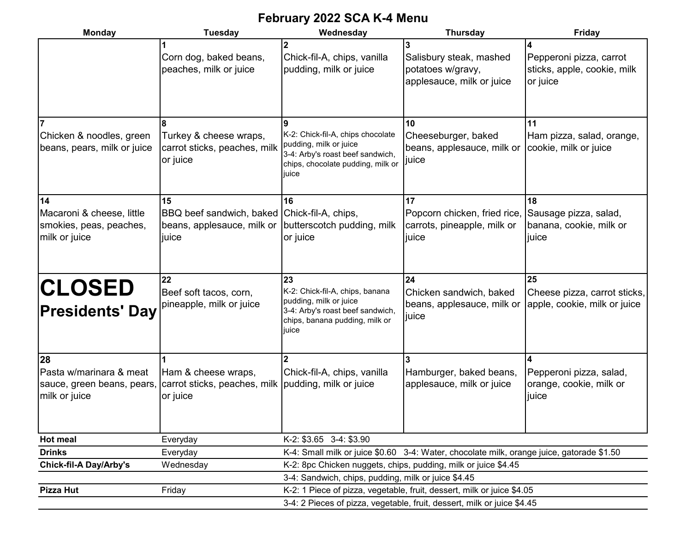## **February 2022 SCA K-4 Menu**

| <b>Monday</b>                                                                | <b>Tuesday</b>                                                                            | Wednesday                                                                                                                                          | <b>Thursday</b>                                                                           | Friday                                                             |  |  |  |  |
|------------------------------------------------------------------------------|-------------------------------------------------------------------------------------------|----------------------------------------------------------------------------------------------------------------------------------------------------|-------------------------------------------------------------------------------------------|--------------------------------------------------------------------|--|--|--|--|
|                                                                              | Corn dog, baked beans,<br>peaches, milk or juice                                          | Chick-fil-A, chips, vanilla<br>pudding, milk or juice                                                                                              | Salisbury steak, mashed<br>potatoes w/gravy,<br>applesauce, milk or juice                 | Pepperoni pizza, carrot<br>sticks, apple, cookie, milk<br>or juice |  |  |  |  |
| Chicken & noodles, green<br>beans, pears, milk or juice                      | Turkey & cheese wraps,<br>carrot sticks, peaches, milk<br>or juice                        | 9<br>K-2: Chick-fil-A, chips chocolate<br>pudding, milk or juice<br>3-4: Arby's roast beef sandwich,<br>chips, chocolate pudding, milk or<br>juice | 10<br>Cheeseburger, baked<br>beans, applesauce, milk or<br>juice                          | 11<br>Ham pizza, salad, orange,<br>cookie, milk or juice           |  |  |  |  |
| 14<br>Macaroni & cheese, little<br>smokies, peas, peaches,<br>milk or juice  | 15<br>BBQ beef sandwich, baked Chick-fil-A, chips,<br>beans, applesauce, milk or<br>juice | 16<br>butterscotch pudding, milk<br>or juice                                                                                                       | 17<br>Popcorn chicken, fried rice,<br>carrots, pineapple, milk or<br>juice                | 18<br>Sausage pizza, salad,<br>banana, cookie, milk or<br>juice    |  |  |  |  |
| <b>CLOSED</b><br><b>Presidents' Day</b>                                      | 22<br>Beef soft tacos, corn,<br>pineapple, milk or juice                                  | 23<br>K-2: Chick-fil-A, chips, banana<br>pudding, milk or juice<br>3-4: Arby's roast beef sandwich,<br>chips, banana pudding, milk or<br>juice     | 24<br>Chicken sandwich, baked<br>beans, applesauce, milk or<br>juice                      | 25<br>Cheese pizza, carrot sticks,<br>apple, cookie, milk or juice |  |  |  |  |
| 28<br>Pasta w/marinara & meat<br>sauce, green beans, pears,<br>milk or juice | Ham & cheese wraps,<br>carrot sticks, peaches, milk pudding, milk or juice<br>or juice    | Chick-fil-A, chips, vanilla                                                                                                                        | Hamburger, baked beans,<br>applesauce, milk or juice                                      | Pepperoni pizza, salad,<br>orange, cookie, milk or<br>juice        |  |  |  |  |
| <b>Hot meal</b>                                                              | Everyday                                                                                  | K-2: \$3.65 3-4: \$3.90                                                                                                                            |                                                                                           |                                                                    |  |  |  |  |
| <b>Drinks</b>                                                                | Everyday                                                                                  |                                                                                                                                                    | K-4: Small milk or juice \$0.60 3-4: Water, chocolate milk, orange juice, gatorade \$1.50 |                                                                    |  |  |  |  |
| <b>Chick-fil-A Day/Arby's</b>                                                | Wednesday                                                                                 |                                                                                                                                                    | K-2: 8pc Chicken nuggets, chips, pudding, milk or juice \$4.45                            |                                                                    |  |  |  |  |
|                                                                              |                                                                                           | 3-4: Sandwich, chips, pudding, milk or juice \$4.45                                                                                                |                                                                                           |                                                                    |  |  |  |  |
| <b>Pizza Hut</b>                                                             | Friday                                                                                    |                                                                                                                                                    | K-2: 1 Piece of pizza, vegetable, fruit, dessert, milk or juice \$4.05                    |                                                                    |  |  |  |  |
|                                                                              |                                                                                           | 3-4: 2 Pieces of pizza, vegetable, fruit, dessert, milk or juice \$4.45                                                                            |                                                                                           |                                                                    |  |  |  |  |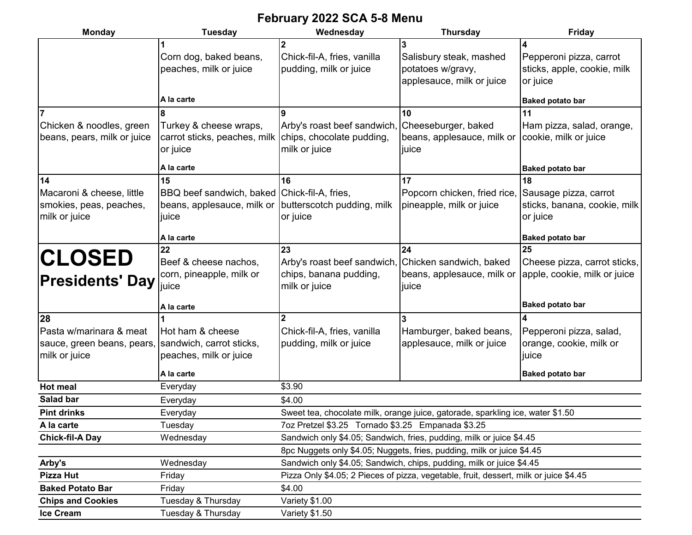## **February 2022 SCA 5-8 Menu**

| <b>Monday</b><br><b>Tuesday</b>                                                                       |                                                                                                                      | Wednesday                                                                                                                                       | <b>Thursday</b>                                                                                     | <b>Friday</b>                                                           |  |  |  |  |
|-------------------------------------------------------------------------------------------------------|----------------------------------------------------------------------------------------------------------------------|-------------------------------------------------------------------------------------------------------------------------------------------------|-----------------------------------------------------------------------------------------------------|-------------------------------------------------------------------------|--|--|--|--|
|                                                                                                       | Corn dog, baked beans,<br>peaches, milk or juice<br>A la carte                                                       | Chick-fil-A, fries, vanilla<br>pudding, milk or juice                                                                                           | Salisbury steak, mashed<br>potatoes w/gravy,<br>applesauce, milk or juice                           | Pepperoni pizza, carrot<br>sticks, apple, cookie, milk<br>or juice      |  |  |  |  |
|                                                                                                       |                                                                                                                      |                                                                                                                                                 |                                                                                                     | <b>Baked potato bar</b>                                                 |  |  |  |  |
| Chicken & noodles, green<br>beans, pears, milk or juice                                               | Turkey & cheese wraps,<br>carrot sticks, peaches, milk<br>or juice                                                   | 10<br>9<br>Arby's roast beef sandwich, Cheeseburger, baked<br>chips, chocolate pudding,<br>beans, applesauce, milk or<br>milk or juice<br>juice |                                                                                                     | 11<br>Ham pizza, salad, orange,<br>cookie, milk or juice                |  |  |  |  |
|                                                                                                       | A la carte                                                                                                           |                                                                                                                                                 |                                                                                                     | <b>Baked potato bar</b>                                                 |  |  |  |  |
| 14<br>Macaroni & cheese, little<br>smokies, peas, peaches,<br>milk or juice                           | 15<br>BBQ beef sandwich, baked Chick-fil-A, fries,<br>beans, applesauce, milk or butterscotch pudding, milk<br>juice | 16<br>or juice                                                                                                                                  | 17<br>Popcorn chicken, fried rice<br>pineapple, milk or juice                                       | 18<br>Sausage pizza, carrot<br>sticks, banana, cookie, milk<br>or juice |  |  |  |  |
|                                                                                                       | A la carte                                                                                                           | 23                                                                                                                                              |                                                                                                     | <b>Baked potato bar</b>                                                 |  |  |  |  |
| <b>CLOSED</b><br><b>Presidents' Day</b>                                                               | 22<br>Beef & cheese nachos,<br>corn, pineapple, milk or<br>juice                                                     |                                                                                                                                                 | 24<br>Arby's roast beef sandwich,<br>Chicken sandwich, baked<br>beans, applesauce, milk or<br>juice | 25<br>Cheese pizza, carrot sticks,<br>apple, cookie, milk or juice      |  |  |  |  |
|                                                                                                       | A la carte                                                                                                           |                                                                                                                                                 |                                                                                                     | <b>Baked potato bar</b>                                                 |  |  |  |  |
| 28<br>Pasta w/marinara & meat<br>sauce, green beans, pears, sandwich, carrot sticks,<br>milk or juice | Hot ham & cheese<br>peaches, milk or juice                                                                           | $\mathbf{2}$<br>Chick-fil-A, fries, vanilla<br>pudding, milk or juice                                                                           | Hamburger, baked beans,<br>applesauce, milk or juice                                                | Pepperoni pizza, salad,<br>orange, cookie, milk or<br>juice             |  |  |  |  |
|                                                                                                       | A la carte                                                                                                           |                                                                                                                                                 |                                                                                                     | <b>Baked potato bar</b>                                                 |  |  |  |  |
| Hot meal                                                                                              | Everyday                                                                                                             | \$3.90                                                                                                                                          |                                                                                                     |                                                                         |  |  |  |  |
| Salad bar                                                                                             | Everyday                                                                                                             | \$4.00                                                                                                                                          |                                                                                                     |                                                                         |  |  |  |  |
| <b>Pint drinks</b>                                                                                    | Everyday                                                                                                             | Sweet tea, chocolate milk, orange juice, gatorade, sparkling ice, water \$1.50                                                                  |                                                                                                     |                                                                         |  |  |  |  |
| A la carte                                                                                            | Tuesday                                                                                                              | 7oz Pretzel \$3.25 Tornado \$3.25 Empanada \$3.25                                                                                               |                                                                                                     |                                                                         |  |  |  |  |
| <b>Chick-fil-A Day</b>                                                                                | Wednesday                                                                                                            | Sandwich only \$4.05; Sandwich, fries, pudding, milk or juice \$4.45                                                                            |                                                                                                     |                                                                         |  |  |  |  |
|                                                                                                       |                                                                                                                      | 8pc Nuggets only \$4.05; Nuggets, fries, pudding, milk or juice \$4.45                                                                          |                                                                                                     |                                                                         |  |  |  |  |
| Arby's                                                                                                | Wednesday                                                                                                            | Sandwich only \$4.05; Sandwich, chips, pudding, milk or juice \$4.45                                                                            |                                                                                                     |                                                                         |  |  |  |  |
| <b>Pizza Hut</b>                                                                                      | Friday                                                                                                               | Pizza Only \$4.05; 2 Pieces of pizza, vegetable, fruit, dessert, milk or juice \$4.45                                                           |                                                                                                     |                                                                         |  |  |  |  |
| <b>Baked Potato Bar</b>                                                                               | Friday                                                                                                               | \$4.00                                                                                                                                          |                                                                                                     |                                                                         |  |  |  |  |
| <b>Chips and Cookies</b>                                                                              | Tuesday & Thursday                                                                                                   | Variety \$1.00                                                                                                                                  |                                                                                                     |                                                                         |  |  |  |  |
| Ice Cream                                                                                             | Tuesday & Thursday                                                                                                   | Variety \$1.50                                                                                                                                  |                                                                                                     |                                                                         |  |  |  |  |